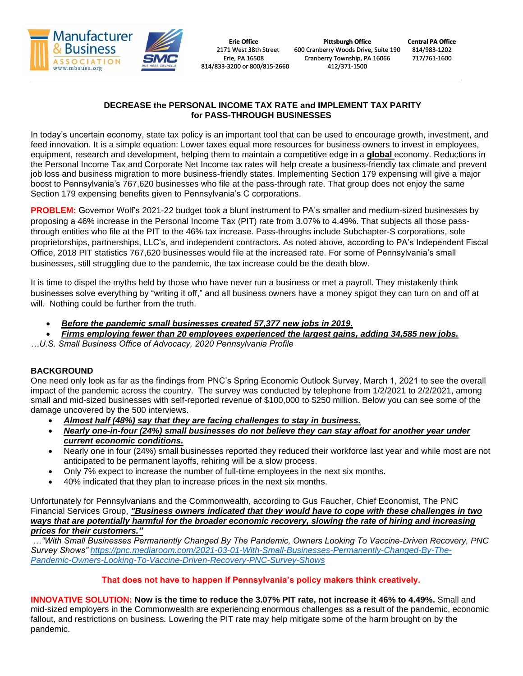

# **DECREASE the PERSONAL INCOME TAX RATE and IMPLEMENT TAX PARITY for PASS-THROUGH BUSINESSES**

In today's uncertain economy, state tax policy is an important tool that can be used to encourage growth, investment, and feed innovation. It is a simple equation: Lower taxes equal more resources for business owners to invest in employees, equipment, research and development, helping them to maintain a competitive edge in a **global** economy. Reductions in the Personal Income Tax and Corporate Net Income tax rates will help create a business-friendly tax climate and prevent job loss and business migration to more business-friendly states. Implementing Section 179 expensing will give a major boost to Pennsylvania's 767,620 businesses who file at the pass-through rate. That group does not enjoy the same Section 179 expensing benefits given to Pennsylvania's C corporations.

**PROBLEM:** Governor Wolf's 2021-22 budget took a blunt instrument to PA's smaller and medium-sized businesses by proposing a 46% increase in the Personal Income Tax (PIT) rate from 3.07% to 4.49%. That subjects all those passthrough entities who file at the PIT to the 46% tax increase. Pass-throughs include Subchapter-S corporations, sole proprietorships, partnerships, LLC's, and independent contractors. As noted above, according to PA's Independent Fiscal Office, 2018 PIT statistics 767,620 businesses would file at the increased rate. For some of Pennsylvania's small businesses, still struggling due to the pandemic, the tax increase could be the death blow.

It is time to dispel the myths held by those who have never run a business or met a payroll. They mistakenly think businesses solve everything by "writing it off," and all business owners have a money spigot they can turn on and off at will. Nothing could be further from the truth.

- *Before the pandemic small businesses created 57,377 new jobs in 2019.*
- *Firms employing fewer than 20 employees experienced the largest gains, adding 34,585 new jobs.*
- *…U.S. Small Business Office of Advocacy, 2020 Pennsylvania Profile*

## **BACKGROUND**

One need only look as far as the findings from PNC's Spring Economic Outlook Survey, March 1, 2021 to see the overall impact of the pandemic across the country. The survey was conducted by telephone from 1/2/2021 to 2/2/2021, among small and mid-sized businesses with self-reported revenue of \$100,000 to \$250 million. Below you can see some of the damage uncovered by the 500 interviews.

- *Almost half (48%) say that they are facing challenges to stay in business.*
- *Nearly one-in-four (24%) small businesses do not believe they can stay afloat for another year under current economic conditions.*
- Nearly one in four (24%) small businesses reported they reduced their workforce last year and while most are not anticipated to be permanent layoffs, rehiring will be a slow process.
- Only 7% expect to increase the number of full-time employees in the next six months.
- 40% indicated that they plan to increase prices in the next six months.

Unfortunately for Pennsylvanians and the Commonwealth, according to Gus Faucher, Chief Economist, The PNC Financial Services Group, *"Business owners indicated that they would have to cope with these challenges in two ways that are potentially harmful for the broader economic recovery, slowing the rate of hiring and increasing prices for their customers."*

…*"With Small Businesses Permanently Changed By The Pandemic, Owners Looking To Vaccine-Driven Recovery, PNC Survey Shows" [https://pnc.mediaroom.com/2021-03-01-With-Small-Businesses-Permanently-Changed-By-The-](https://pnc.mediaroom.com/2021-03-01-With-Small-Businesses-Permanently-Changed-By-The-Pandemic-Owners-Looking-To-Vaccine-Driven-Recovery-PNC-Survey-Shows)[Pandemic-Owners-Looking-To-Vaccine-Driven-Recovery-PNC-Survey-Shows](https://pnc.mediaroom.com/2021-03-01-With-Small-Businesses-Permanently-Changed-By-The-Pandemic-Owners-Looking-To-Vaccine-Driven-Recovery-PNC-Survey-Shows)*

## **That does not have to happen if Pennsylvania's policy makers think creatively.**

**INNOVATIVE SOLUTION: Now is the time to reduce the 3.07% PIT rate, not increase it 46% to 4.49%.** Small and mid-sized employers in the Commonwealth are experiencing enormous challenges as a result of the pandemic, economic fallout, and restrictions on business*.* Lowering the PIT rate may help mitigate some of the harm brought on by the pandemic.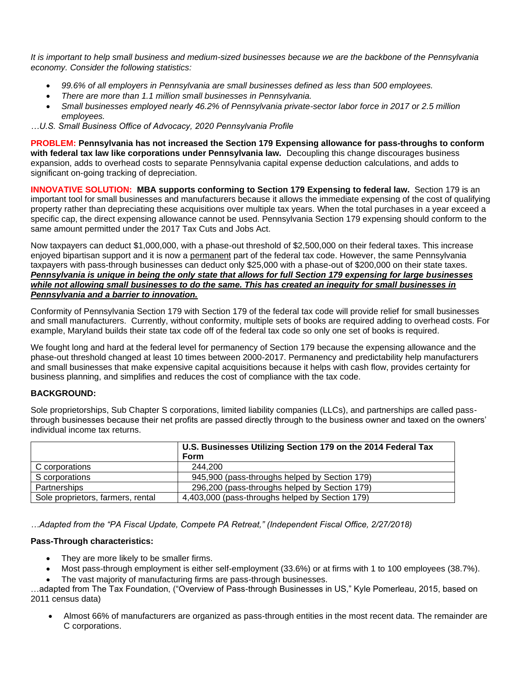*It is important to help small business and medium-sized businesses because we are the backbone of the Pennsylvania economy. Consider the following statistics:*

- *99.6% of all employers in Pennsylvania are small businesses defined as less than 500 employees.*
- *There are more than 1.1 million small businesses in Pennsylvania.*
- *Small businesses employed nearly 46.2% of Pennsylvania private-sector labor force in 2017 or 2.5 million employees.*
- *…U.S. Small Business Office of Advocacy, 2020 Pennsylvania Profile*

**PROBLEM: Pennsylvania has not increased the Section 179 Expensing allowance for pass-throughs to conform with federal tax law like corporations under Pennsylvania law.** Decoupling this change discourages business expansion, adds to overhead costs to separate Pennsylvania capital expense deduction calculations, and adds to significant on-going tracking of depreciation.

**INNOVATIVE SOLUTION: MBA supports conforming to Section 179 Expensing to federal law.** Section 179 is an important tool for small businesses and manufacturers because it allows the immediate expensing of the cost of qualifying property rather than depreciating these acquisitions over multiple tax years. When the total purchases in a year exceed a specific cap, the direct expensing allowance cannot be used. Pennsylvania Section 179 expensing should conform to the same amount permitted under the 2017 Tax Cuts and Jobs Act.

Now taxpayers can deduct \$1,000,000, with a phase-out threshold of \$2,500,000 on their federal taxes. This increase enjoyed bipartisan support and it is now a permanent part of the federal tax code. However, the same Pennsylvania taxpayers with pass-through businesses can deduct only \$25,000 with a phase-out of \$200,000 on their state taxes. *Pennsylvania is unique in being the only state that allows for full Section 179 expensing for large businesses while not allowing small businesses to do the same. This has created an inequity for small businesses in Pennsylvania and a barrier to innovation.*

Conformity of Pennsylvania Section 179 with Section 179 of the federal tax code will provide relief for small businesses and small manufacturers. Currently, without conformity, multiple sets of books are required adding to overhead costs. For example, Maryland builds their state tax code off of the federal tax code so only one set of books is required.

We fought long and hard at the federal level for permanency of Section 179 because the expensing allowance and the phase-out threshold changed at least 10 times between 2000-2017. Permanency and predictability help manufacturers and small businesses that make expensive capital acquisitions because it helps with cash flow, provides certainty for business planning, and simplifies and reduces the cost of compliance with the tax code.

## **BACKGROUND:**

Sole proprietorships, Sub Chapter S corporations, limited liability companies (LLCs), and partnerships are called passthrough businesses because their net profits are passed directly through to the business owner and taxed on the owners' individual income tax returns.

|                                   | U.S. Businesses Utilizing Section 179 on the 2014 Federal Tax<br>Form |
|-----------------------------------|-----------------------------------------------------------------------|
| C corporations                    | 244.200                                                               |
| S corporations                    | 945,900 (pass-throughs helped by Section 179)                         |
| Partnerships                      | 296,200 (pass-throughs helped by Section 179)                         |
| Sole proprietors, farmers, rental | 4,403,000 (pass-throughs helped by Section 179)                       |

*…Adapted from the "PA Fiscal Update, Compete PA Retreat," (Independent Fiscal Office, 2/27/2018)*

#### **Pass-Through characteristics:**

- They are more likely to be smaller firms.
- Most pass-through employment is either self-employment (33.6%) or at firms with 1 to 100 employees (38.7%).
- The vast majority of manufacturing firms are pass-through businesses.

…adapted from The Tax Foundation, ("Overview of Pass-through Businesses in US," Kyle Pomerleau, 2015, based on 2011 census data)

• Almost 66% of manufacturers are organized as pass-through entities in the most recent data. The remainder are C corporations.